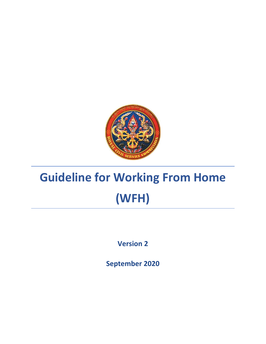

# **Guideline for Working From Home (WFH)**

**Version 2**

**September 2020**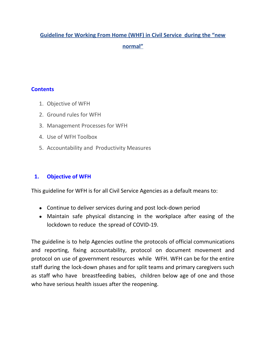## **Guideline for Working From Home (WHF) in Civil Service during the "new normal"**

#### **Contents**

- 1. Objective of WFH
- 2. Ground rules for WFH
- 3. Management Processes for WFH
- 4. Use of WFH Toolbox
- 5. Accountability and Productivity Measures

#### **1. Objective of WFH**

This guideline for WFH is for all Civil Service Agencies as a default means to:

- Continue to deliver services during and post lock-down period
- Maintain safe physical distancing in the workplace after easing of the lockdown to reduce the spread of COVID-19.

The guideline is to help Agencies outline the protocols of official communications and reporting, fixing accountability, protocol on document movement and protocol on use of government resources while WFH. WFH can be for the entire staff during the lock-down phases and for split teams and primary caregivers such as staff who have breastfeeding babies, children below age of one and those who have serious health issues after the reopening.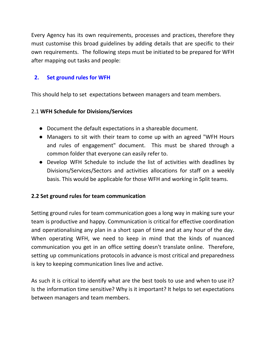Every Agency has its own requirements, processes and practices, therefore they must customise this broad guidelines by adding details that are specific to their own requirements. The following steps must be initiated to be prepared for WFH after mapping out tasks and people:

#### **2. Set ground rules for WFH**

This should help to set expectations between managers and team members.

#### 2.1 **WFH Schedule for Divisions/Services**

- Document the default expectations in a shareable document.
- Managers to sit with their team to come up with an agreed "WFH Hours and rules of engagement" document. This must be shared through a common folder that everyone can easily refer to.
- Develop WFH Schedule to include the list of activities with deadlines by Divisions/Services/Sectors and activities allocations for staff on a weekly basis. This would be applicable for those WFH and working in Split teams.

#### **2.2 Set ground rules for team communication**

Setting ground rules for team communication goes a long way in making sure your team is productive and happy. Communication is critical for effective coordination and operationalising any plan in a short span of time and at any hour of the day. When operating WFH, we need to keep in mind that the kinds of nuanced communication you get in an office setting doesn't translate online. Therefore, setting up communications protocols in advance is most critical and preparedness is key to keeping communication lines live and active.

As such it is critical to identify what are the best tools to use and when to use it? Is the information time sensitive? Why is it important? It helps to set expectations between managers and team members.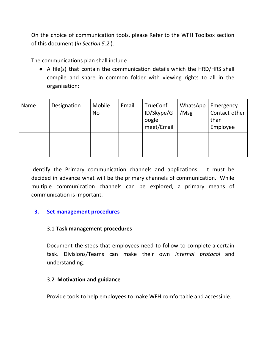On the choice of communication tools, please Refer to the WFH Toolbox section of this document (*in Section 5.2* ).

The communications plan shall include :

● A file(s) that contain the communication details which the HRD/HRS shall compile and share in common folder with viewing rights to all in the organisation:

| Name | Designation | Mobile<br><b>No</b> | Email | TrueConf<br>ID/Skype/G<br>oogle<br>meet/Email | WhatsApp<br>/Msg | Emergency<br>Contact other<br>than<br>Employee |
|------|-------------|---------------------|-------|-----------------------------------------------|------------------|------------------------------------------------|
|      |             |                     |       |                                               |                  |                                                |
|      |             |                     |       |                                               |                  |                                                |

Identify the Primary communication channels and applications. It must be decided in advance what will be the primary channels of communication. While multiple communication channels can be explored, a primary means of communication is important.

#### **3. Set management procedures**

#### 3.1 **Task management procedures**

Document the steps that employees need to follow to complete a certain task. Divisions/Teams can make their own *internal protocol* and understanding.

#### 3.2 **Motivation and guidance**

Provide tools to help employees to make WFH comfortable and accessible.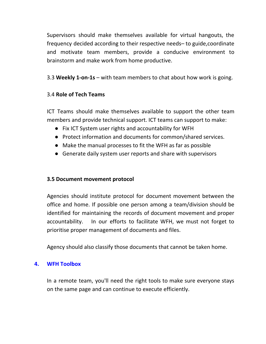Supervisors should make themselves available for virtual hangouts, the frequency decided according to their respective needs– to guide,coordinate and motivate team members, provide a conducive environment to brainstorm and make work from home productive.

3.3 **Weekly 1-on-1s** – with team members to chat about how work is going.

#### 3.4 **Role of Tech Teams**

ICT Teams should make themselves available to support the other team members and provide technical support. ICT teams can support to make:

- Fix ICT System user rights and accountability for WFH
- Protect information and documents for common/shared services.
- Make the manual processes to fit the WFH as far as possible
- Generate daily system user reports and share with supervisors

#### **3.5 Document movement protocol**

Agencies should institute protocol for document movement between the office and home. If possible one person among a team/division should be identified for maintaining the records of document movement and proper accountability. In our efforts to facilitate WFH, we must not forget to prioritise proper management of documents and files.

Agency should also classify those documents that cannot be taken home.

#### **4. WFH Toolbox**

In a remote team, you'll need the right tools to make sure everyone stays on the same page and can continue to execute efficiently.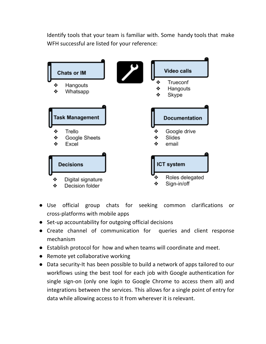Identify tools that your team is familiar with. Some handy tools that make WFH successful are listed for your reference:



- Use official group chats for seeking common clarifications or cross-platforms with mobile apps
- Set-up accountability for outgoing official decisions
- Create channel of communication for queries and client response mechanism
- Establish protocol for how and when teams will coordinate and meet.
- Remote yet collaborative working
- Data security-It has been possible to build a network of apps tailored to our workflows using the best tool for each job with Google authentication for single sign-on (only one login to Google Chrome to access them all) and integrations between the services. This allows for a single point of entry for data while allowing access to it from wherever it is relevant.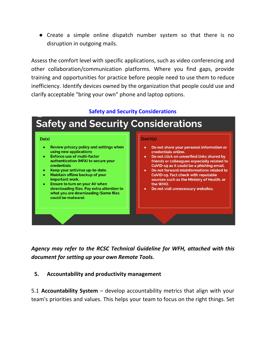● Create a simple online dispatch number system so that there is no disruption in outgoing mails.

Assess the comfort level with specific applications, such as video conferencing and other collaboration/communication platforms. Where you find gaps, provide training and opportunities for practice before people need to use them to reduce inefficiency. Identify devices owned by the organization that people could use and clarify acceptable "bring your own" phone and laptop options.

#### **Safety and Security Considerations**

# **Safety and Security Considerations**

#### $Do(s)$

- Review privacy policy and settings when using new applications
- **Enforce use of multi-factor** authentication (MFA) to secure your credentials
- Keep your antivirus up-to-date.
- Maintain offline backup of your important work.
- Ensure to turn on your AV when downloading files. Pay extra attention to what you are downloading (Some files could be malware).

#### Don't(s)

- Do not share your personal information or credentials online.
- Do not click on unverified links shared by friends or colleagues especially related to CoVID-19 as it could be a phishing email.
- Do not forward misinformations related to CoVID-19. Fact check with reputable sources such as the Ministry of Health, or the WHO.
- Do not visit unnecessary websites.

*Agency may refer to the RCSC Technical Guideline for WFH, attached with this document for setting up your own Remote Tools.*

#### **5. Accountability and productivity management**

5.1 **Accountability System** – develop accountability metrics that align with your team's priorities and values. This helps your team to focus on the right things. Set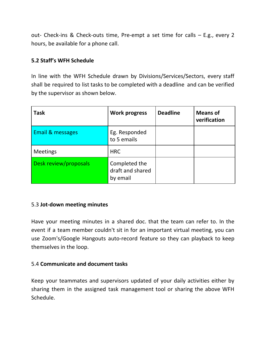out- Check-ins & Check-outs time, Pre-empt a set time for calls – E.g., every 2 hours, be available for a phone call.

#### **5.2 Staff's WFH Schedule**

In line with the WFH Schedule drawn by Divisions/Services/Sectors, every staff shall be required to list tasks to be completed with a deadline and can be verified by the supervisor as shown below.

| <b>Task</b>           | <b>Work progress</b>                          | <b>Deadline</b> | <b>Means of</b><br>verification |
|-----------------------|-----------------------------------------------|-----------------|---------------------------------|
| Email & messages      | Eg. Responded<br>to 5 emails                  |                 |                                 |
| <b>Meetings</b>       | <b>HRC</b>                                    |                 |                                 |
| Desk review/proposals | Completed the<br>draft and shared<br>by email |                 |                                 |

#### 5.3 **Jot-down meeting minutes**

Have your meeting minutes in a shared doc. that the team can refer to. In the event if a team member couldn't sit in for an important virtual meeting, you can use Zoom's/Google Hangouts auto-record feature so they can playback to keep themselves in the loop.

#### 5.4 **Communicate and document tasks**

Keep your teammates and supervisors updated of your daily activities either by sharing them in the assigned task management tool or sharing the above WFH Schedule.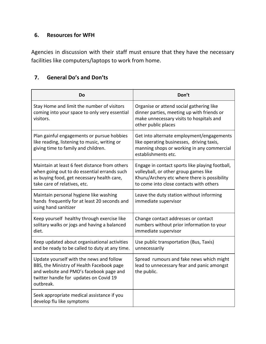#### **6. Resources for WFH**

Agencies in discussion with their staff must ensure that they have the necessary facilities like computers/laptops to work from home.

### **7. General Do's and Don'ts**

| Do                                                                                                                                                                                      | Don't                                                                                                                                                                               |
|-----------------------------------------------------------------------------------------------------------------------------------------------------------------------------------------|-------------------------------------------------------------------------------------------------------------------------------------------------------------------------------------|
| Stay Home and limit the number of visitors<br>coming into your space to only very essential<br>visitors.                                                                                | Organise or attend social gathering like<br>dinner parties, meeting up with friends or<br>make unnecessary visits to hospitals and<br>other public places                           |
| Plan gainful engagements or pursue hobbies<br>like reading, listening to music, writing or<br>giving time to family and children.                                                       | Get into alternate employment/engagements<br>like operating businesses, driving taxis,<br>manning shops or working in any commercial<br>establishments etc.                         |
| Maintain at least 6 feet distance from others<br>when going out to do essential errands such<br>as buying food, get necessary health care,<br>take care of relatives, etc.              | Engage in contact sports like playing football,<br>volleyball, or other group games like<br>Khuru/Archery etc where there is possibility<br>to come into close contacts with others |
| Maintain personal hygiene like washing<br>hands frequently for at least 20 seconds and<br>using hand sanitizer                                                                          | Leave the duty station without informing<br>immediate supervisor                                                                                                                    |
| Keep yourself healthy through exercise like<br>solitary walks or jogs and having a balanced<br>diet.                                                                                    | Change contact addresses or contact<br>numbers without prior information to your<br>immediate supervisor                                                                            |
| Keep updated about organisational activities<br>and be ready to be called to duty at any time.                                                                                          | Use public transportation (Bus, Taxis)<br>unnecessarily                                                                                                                             |
| Update yourself with the news and follow<br>BBS, the Ministry of Health Facebook page<br>and website and PMO's facebook page and<br>twitter handle for updates on Covid 19<br>outbreak. | Spread rumours and fake news which might<br>lead to unnecessary fear and panic amongst<br>the public.                                                                               |
| Seek appropriate medical assistance if you<br>develop flu like symptoms                                                                                                                 |                                                                                                                                                                                     |